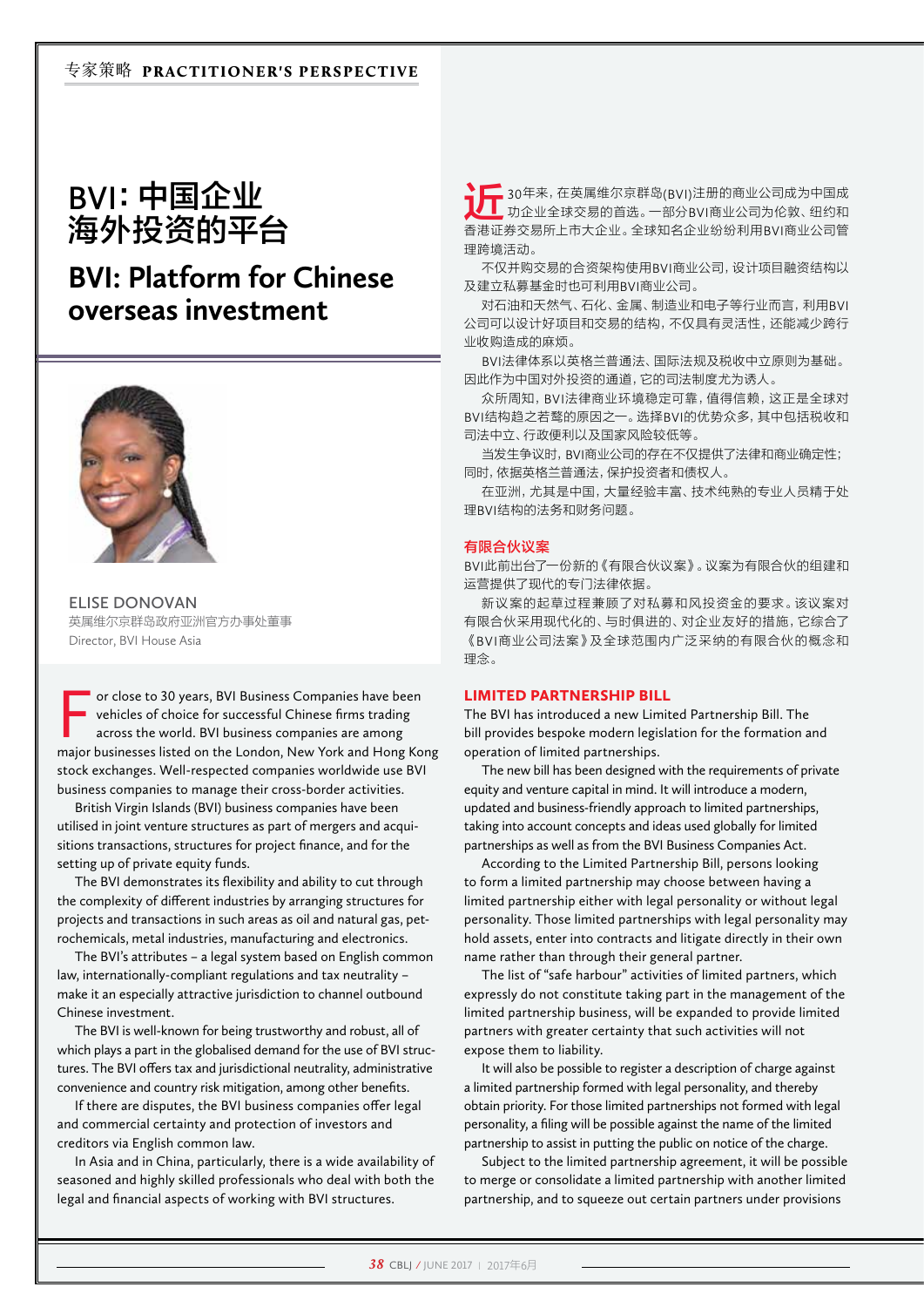# **BVI**:中国企业 海外投资的平台

## **BVI: Platform for Chinese overseas investment**



**ELISE DONOVAN**  英属维尔京群岛政府亚洲官方办事处董事 Director, BVI House Asia

or close to 30 years, BVI Business Companies have been vehicles of choice for successful Chinese firms trading across the world. BVI business companies are among major businesses listed on the London, New York and Hong Kong stock exchanges. Well-respected companies worldwide use BVI business companies to manage their cross-border activities.

British Virgin Islands (BVI) business companies have been utilised in joint venture structures as part of mergers and acquisitions transactions, structures for project finance, and for the setting up of private equity funds.

The BVI demonstrates its flexibility and ability to cut through the complexity of different industries by arranging structures for projects and transactions in such areas as oil and natural gas, petrochemicals, metal industries, manufacturing and electronics.

The BVI's attributes – a legal system based on English common law, internationally-compliant regulations and tax neutrality – make it an especially attractive jurisdiction to channel outbound Chinese investment.

The BVI is well-known for being trustworthy and robust, all of which plays a part in the globalised demand for the use of BVI structures. The BVI offers tax and jurisdictional neutrality, administrative convenience and country risk mitigation, among other benefits.

If there are disputes, the BVI business companies offer legal and commercial certainty and protection of investors and creditors via English common law.

In Asia and in China, particularly, there is a wide availability of seasoned and highly skilled professionals who deal with both the legal and financial aspects of working with BVI structures.

近<sup>30</sup>年来,在英属维尔京群岛(BVI)注册的商业公司成为中国成 功企业全球交易的首选。一部分BVI商业公司为伦敦、纽约和 香港证券交易所上市大企业。全球知名企业纷纷利用BVI商业公司管 理跨境活动。

不仅并购交易的合资架构使用BVI商业公司,设计项目融资结构以 及建立私募基金时也可利用BVI商业公司。

对石油和天然气、石化、金属、制造业和电子等行业而言,利用BVI 公司可以设计好项目和交易的结构,不仅具有灵活性,还能减少跨行 业收购造成的麻烦。

BVI法律体系以英格兰普通法、国际法规及税收中立原则为基础。 因此作为中国对外投资的通道,它的司法制度尤为诱人。

众所周知,BVI法律商业环境稳定可靠,值得信赖,这正是全球对 BVI结构趋之若鹜的原因之一。选择BVI的优势众多,其中包括税收和 司法中立、行政便利以及国家风险较低等。

当发生争议时,BVI商业公司的存在不仅提供了法律和商业确定性; 同时,依据英格兰普通法,保护投资者和债权人。

在亚洲,尤其是中国,大量经验丰富、技术纯熟的专业人员精于处 理BVI结构的法务和财务问题。

## 有限合伙议案

BVI此前出台了一份新的《有限合伙议案》。议案为有限合伙的组建和 运营提供了现代的专门法律依据。

新议案的起草过程兼顾了对私募和风投资金的要求。该议案对 有限合伙采用现代化的、与时俱进的、对企业友好的措施,它综合了 《BVI商业公司法案》及全球范围内广泛采纳的有限合伙的概念和 理念。

### LIMITED PARTNERSHIP BILL

The BVI has introduced a new Limited Partnership Bill. The bill provides bespoke modern legislation for the formation and operation of limited partnerships.

The new bill has been designed with the requirements of private equity and venture capital in mind. It will introduce a modern, updated and business-friendly approach to limited partnerships, taking into account concepts and ideas used globally for limited partnerships as well as from the BVI Business Companies Act.

According to the Limited Partnership Bill, persons looking to form a limited partnership may choose between having a limited partnership either with legal personality or without legal personality. Those limited partnerships with legal personality may hold assets, enter into contracts and litigate directly in their own name rather than through their general partner.

The list of "safe harbour" activities of limited partners, which expressly do not constitute taking part in the management of the limited partnership business, will be expanded to provide limited partners with greater certainty that such activities will not expose them to liability.

It will also be possible to register a description of charge against a limited partnership formed with legal personality, and thereby obtain priority. For those limited partnerships not formed with legal personality, a filing will be possible against the name of the limited partnership to assist in putting the public on notice of the charge.

Subject to the limited partnership agreement, it will be possible to merge or consolidate a limited partnership with another limited partnership, and to squeeze out certain partners under provisions